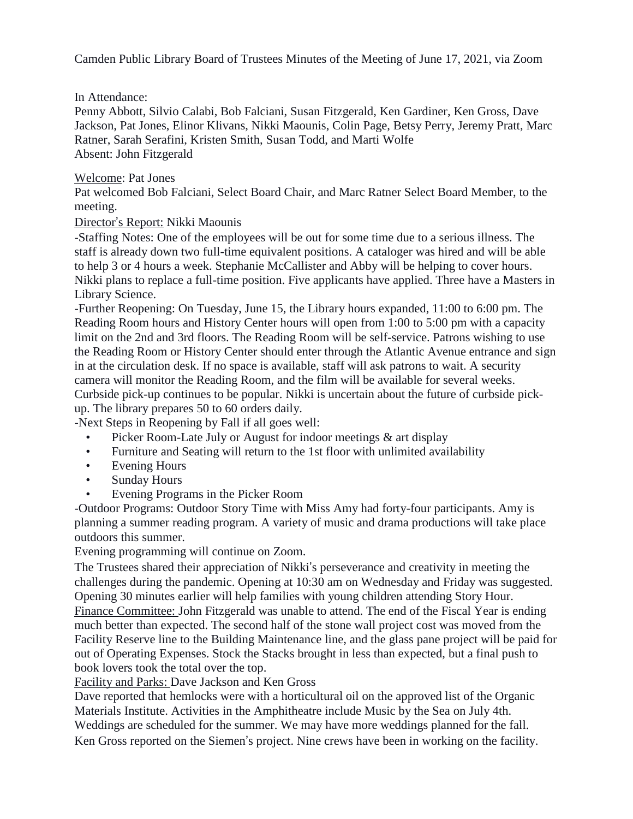Camden Public Library Board of Trustees Minutes of the Meeting of June 17, 2021, via Zoom

## In Attendance:

Penny Abbott, Silvio Calabi, Bob Falciani, Susan Fitzgerald, Ken Gardiner, Ken Gross, Dave Jackson, Pat Jones, Elinor Klivans, Nikki Maounis, Colin Page, Betsy Perry, Jeremy Pratt, Marc Ratner, Sarah Serafini, Kristen Smith, Susan Todd, and Marti Wolfe Absent: John Fitzgerald

## Welcome: Pat Jones

Pat welcomed Bob Falciani, Select Board Chair, and Marc Ratner Select Board Member, to the meeting.

## Director's Report: Nikki Maounis

-Staffing Notes: One of the employees will be out for some time due to a serious illness. The staff is already down two full-time equivalent positions. A cataloger was hired and will be able to help 3 or 4 hours a week. Stephanie McCallister and Abby will be helping to cover hours. Nikki plans to replace a full-time position. Five applicants have applied. Three have a Masters in Library Science.

-Further Reopening: On Tuesday, June 15, the Library hours expanded, 11:00 to 6:00 pm. The Reading Room hours and History Center hours will open from 1:00 to 5:00 pm with a capacity limit on the 2nd and 3rd floors. The Reading Room will be self-service. Patrons wishing to use the Reading Room or History Center should enter through the Atlantic Avenue entrance and sign in at the circulation desk. If no space is available, staff will ask patrons to wait. A security camera will monitor the Reading Room, and the film will be available for several weeks. Curbside pick-up continues to be popular. Nikki is uncertain about the future of curbside pickup. The library prepares 50 to 60 orders daily.

-Next Steps in Reopening by Fall if all goes well:

- Picker Room-Late July or August for indoor meetings & art display
- Furniture and Seating will return to the 1st floor with unlimited availability
- Evening Hours
- Sunday Hours
- Evening Programs in the Picker Room

-Outdoor Programs: Outdoor Story Time with Miss Amy had forty-four participants. Amy is planning a summer reading program. A variety of music and drama productions will take place outdoors this summer.

Evening programming will continue on Zoom.

The Trustees shared their appreciation of Nikki's perseverance and creativity in meeting the challenges during the pandemic. Opening at 10:30 am on Wednesday and Friday was suggested. Opening 30 minutes earlier will help families with young children attending Story Hour. Finance Committee: John Fitzgerald was unable to attend. The end of the Fiscal Year is ending much better than expected. The second half of the stone wall project cost was moved from the Facility Reserve line to the Building Maintenance line, and the glass pane project will be paid for out of Operating Expenses. Stock the Stacks brought in less than expected, but a final push to book lovers took the total over the top.

Facility and Parks: Dave Jackson and Ken Gross

Dave reported that hemlocks were with a horticultural oil on the approved list of the Organic Materials Institute. Activities in the Amphitheatre include Music by the Sea on July 4th. Weddings are scheduled for the summer. We may have more weddings planned for the fall.

Ken Gross reported on the Siemen's project. Nine crews have been in working on the facility.